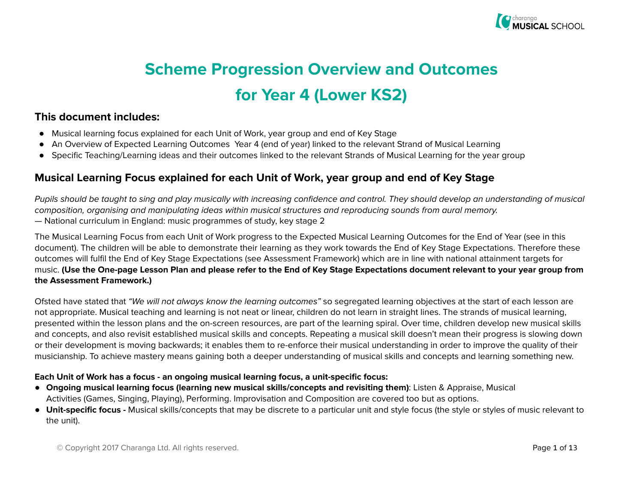

# Scheme Progression Overview and Outcomes for Year 4 (Lower KS2)

#### This document includes:

- Musical learning focus explained for each Unit of Work, year group and end of Key Stage
- An Overview of Expected Learning Outcomes Year 4 (end of year) linked to the relevant Strand of Musical Learning
- Specific Teaching/Learning ideas and their outcomes linked to the relevant Strands of Musical Learning for the year group

#### Musical Learning Focus explained for each Unit of Work, year group and end of Key Stage

Pupils should be taught to sing and play musically with increasing confidence and control. They should develop an understanding of musical composition, organising and manipulating ideas within musical structures and reproducing sounds from aural memory. — National curriculum in England: music programmes of study, key stage 2

The Musical Learning Focus from each Unit of Work progress to the Expected Musical Learning Outcomes for the End of Year (see in this document). The children will be able to demonstrate their learning as they work towards the End of Key Stage Expectations. Therefore these outcomes will fulfil the End of Key Stage Expectations (see Assessment Framework) which are in line with national attainment targets for music. (Use the One-page Lesson Plan and please refer to the End of Key Stage Expectations document relevant to your year group from the Assessment Framework.)

Ofsted have stated that "We will not always know the learning outcomes" so segregated learning objectives at the start of each lesson are not appropriate. Musical teaching and learning is not neat or linear, children do not learn in straight lines. The strands of musical learning, presented within the lesson plans and the on-screen resources, are part of the learning spiral. Over time, children develop new musical skills and concepts, and also revisit established musical skills and concepts. Repeating a musical skill doesn't mean their progress is slowing down or their development is moving backwards; it enables them to re-enforce their musical understanding in order to improve the quality of their musicianship. To achieve mastery means gaining both a deeper understanding of musical skills and concepts and learning something new.

#### Each Unit of Work has a focus - an ongoing musical learning focus, a unit-specific focus:

- Ongoing musical learning focus (learning new musical skills/concepts and revisiting them): Listen & Appraise, Musical Activities (Games, Singing, Playing), Performing. Improvisation and Composition are covered too but as options.
- Unit-specific focus Musical skills/concepts that may be discrete to a particular unit and style focus (the style or styles of music relevant to the unit).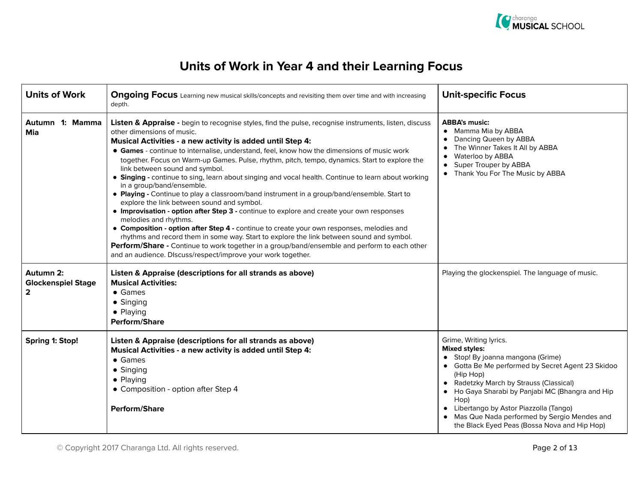

| <b>Units of Work</b>                                   | <b>Ongoing Focus</b> Learning new musical skills/concepts and revisiting them over time and with increasing<br>depth.                                                                                                                                                                                                                                                                                                                                                                                                                                                                                                                                                                                                                                                                                                                                                                                                                                                                                                                                                                                                                                                                              | <b>Unit-specific Focus</b>                                                                                                                                                                                                                                                                                                                                                                           |
|--------------------------------------------------------|----------------------------------------------------------------------------------------------------------------------------------------------------------------------------------------------------------------------------------------------------------------------------------------------------------------------------------------------------------------------------------------------------------------------------------------------------------------------------------------------------------------------------------------------------------------------------------------------------------------------------------------------------------------------------------------------------------------------------------------------------------------------------------------------------------------------------------------------------------------------------------------------------------------------------------------------------------------------------------------------------------------------------------------------------------------------------------------------------------------------------------------------------------------------------------------------------|------------------------------------------------------------------------------------------------------------------------------------------------------------------------------------------------------------------------------------------------------------------------------------------------------------------------------------------------------------------------------------------------------|
| Autumn 1: Mamma<br>Mia                                 | Listen & Appraise - begin to recognise styles, find the pulse, recognise instruments, listen, discuss<br>other dimensions of music.<br>Musical Activities - a new activity is added until Step 4:<br>• Games - continue to internalise, understand, feel, know how the dimensions of music work<br>together. Focus on Warm-up Games. Pulse, rhythm, pitch, tempo, dynamics. Start to explore the<br>link between sound and symbol.<br>• Singing - continue to sing, learn about singing and vocal health. Continue to learn about working<br>in a group/band/ensemble.<br>• Playing - Continue to play a classroom/band instrument in a group/band/ensemble. Start to<br>explore the link between sound and symbol.<br>• Improvisation - option after Step 3 - continue to explore and create your own responses<br>melodies and rhythms.<br>• Composition - option after Step 4 - continue to create your own responses, melodies and<br>rhythms and record them in some way. Start to explore the link between sound and symbol.<br>Perform/Share - Continue to work together in a group/band/ensemble and perform to each other<br>and an audience. DIscuss/respect/improve your work together. | <b>ABBA's music:</b><br>• Mamma Mia by ABBA<br>Dancing Queen by ABBA<br>The Winner Takes It All by ABBA<br>Waterloo by ABBA<br>$\bullet$<br>Super Trouper by ABBA<br>$\bullet$<br>Thank You For The Music by ABBA                                                                                                                                                                                    |
| Autumn 2:<br><b>Glockenspiel Stage</b><br>$\mathbf{2}$ | Listen & Appraise (descriptions for all strands as above)<br><b>Musical Activities:</b><br>$\bullet$ Games<br>• Singing<br>• Playing<br>Perform/Share                                                                                                                                                                                                                                                                                                                                                                                                                                                                                                                                                                                                                                                                                                                                                                                                                                                                                                                                                                                                                                              | Playing the glockenspiel. The language of music.                                                                                                                                                                                                                                                                                                                                                     |
| <b>Spring 1: Stop!</b>                                 | Listen & Appraise (descriptions for all strands as above)<br>Musical Activities - a new activity is added until Step 4:<br>• Games<br>$\bullet$ Singing<br>• Playing<br>• Composition - option after Step 4<br><b>Perform/Share</b>                                                                                                                                                                                                                                                                                                                                                                                                                                                                                                                                                                                                                                                                                                                                                                                                                                                                                                                                                                | Grime, Writing lyrics.<br><b>Mixed styles:</b><br>• Stop! By joanna mangona (Grime)<br>• Gotta Be Me performed by Secret Agent 23 Skidoo<br>(Hip Hop)<br>• Radetzky March by Strauss (Classical)<br>Ho Gaya Sharabi by Panjabi MC (Bhangra and Hip<br>Hop)<br>• Libertango by Astor Piazzolla (Tango)<br>Mas Que Nada performed by Sergio Mendes and<br>the Black Eyed Peas (Bossa Nova and Hip Hop) |

© Copyright 2017 Charanga Ltd. All rights reserved. Page 2 of 13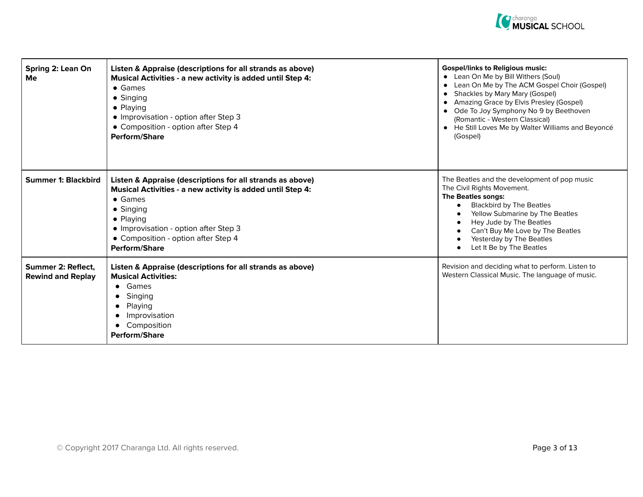

| Spring 2: Lean On<br>Me                        | Listen & Appraise (descriptions for all strands as above)<br>Musical Activities - a new activity is added until Step 4:<br>$\bullet$ Games<br>• Singing<br>• Playing<br>· Improvisation - option after Step 3<br>• Composition - option after Step 4<br><b>Perform/Share</b>         | <b>Gospel/links to Religious music:</b><br>• Lean On Me by Bill Withers (Soul)<br>• Lean On Me by The ACM Gospel Choir (Gospel)<br>• Shackles by Mary Mary (Gospel)<br>• Amazing Grace by Elvis Presley (Gospel)<br>• Ode To Joy Symphony No 9 by Beethoven<br>(Romantic - Western Classical)<br>• He Still Loves Me by Walter Williams and Beyoncé<br>(Gospel) |
|------------------------------------------------|--------------------------------------------------------------------------------------------------------------------------------------------------------------------------------------------------------------------------------------------------------------------------------------|-----------------------------------------------------------------------------------------------------------------------------------------------------------------------------------------------------------------------------------------------------------------------------------------------------------------------------------------------------------------|
| <b>Summer 1: Blackbird</b>                     | Listen & Appraise (descriptions for all strands as above)<br>Musical Activities - a new activity is added until Step 4:<br>$\bullet$ Games<br>• Singing<br>$\bullet$ Playing<br>• Improvisation - option after Step 3<br>• Composition - option after Step 4<br><b>Perform/Share</b> | The Beatles and the development of pop music<br>The Civil Rights Movement.<br>The Beatles songs:<br><b>Blackbird by The Beatles</b><br>Yellow Submarine by The Beatles<br>Hey Jude by The Beatles<br>Can't Buy Me Love by The Beatles<br>Yesterday by The Beatles<br>Let It Be by The Beatles                                                                   |
| Summer 2: Reflect.<br><b>Rewind and Replay</b> | Listen & Appraise (descriptions for all strands as above)<br><b>Musical Activities:</b><br>Games<br>$\bullet$<br>• Singing<br>Playing<br>Improvisation<br>$\bullet$<br>Composition<br><b>Perform/Share</b>                                                                           | Revision and deciding what to perform. Listen to<br>Western Classical Music. The language of music.                                                                                                                                                                                                                                                             |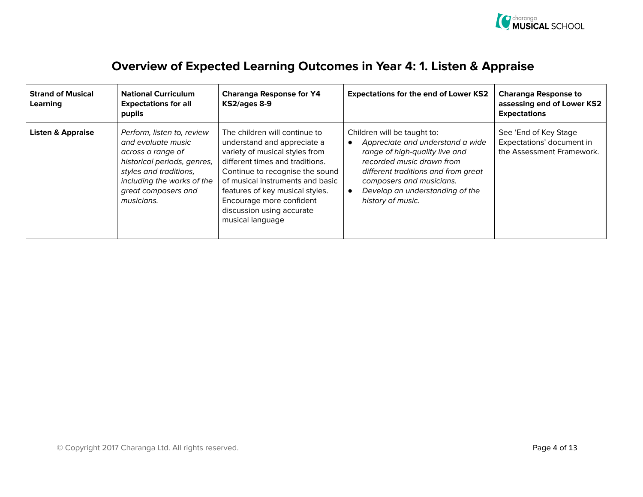

| <b>Strand of Musical</b><br>Learning | <b>National Curriculum</b><br><b>Expectations for all</b><br>pupils                                                                                                                               | <b>Charanga Response for Y4</b><br>KS2/ages 8-9                                                                                                                                                                                                                                                                          | <b>Expectations for the end of Lower KS2</b>                                                                                                                                                                                                              | <b>Charanga Response to</b><br>assessing end of Lower KS2<br><b>Expectations</b> |
|--------------------------------------|---------------------------------------------------------------------------------------------------------------------------------------------------------------------------------------------------|--------------------------------------------------------------------------------------------------------------------------------------------------------------------------------------------------------------------------------------------------------------------------------------------------------------------------|-----------------------------------------------------------------------------------------------------------------------------------------------------------------------------------------------------------------------------------------------------------|----------------------------------------------------------------------------------|
| <b>Listen &amp; Appraise</b>         | Perform, listen to, review<br>and evaluate music<br>across a range of<br>historical periods, genres,<br>styles and traditions,<br>including the works of the<br>great composers and<br>musicians. | The children will continue to<br>understand and appreciate a<br>variety of musical styles from<br>different times and traditions.<br>Continue to recognise the sound<br>of musical instruments and basic<br>features of key musical styles.<br>Encourage more confident<br>discussion using accurate<br>musical language | Children will be taught to:<br>Appreciate and understand a wide<br>range of high-quality live and<br>recorded music drawn from<br>different traditions and from great<br>composers and musicians.<br>Develop an understanding of the<br>history of music. | See 'End of Key Stage<br>Expectations' document in<br>the Assessment Framework.  |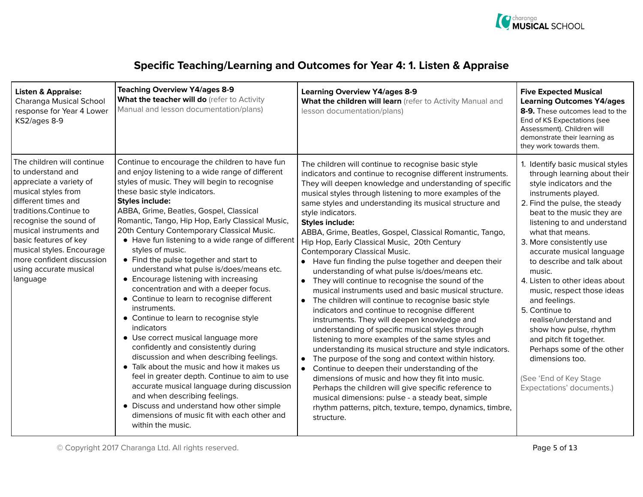

### Specific Teaching/Learning and Outcomes for Year 4: 1. Listen & Appraise

| <b>Listen &amp; Appraise:</b><br>Charanga Musical School<br>response for Year 4 Lower<br>KS2/ages 8-9                                                                                                                                                                                                                             | <b>Teaching Overview Y4/ages 8-9</b><br>What the teacher will do (refer to Activity<br>Manual and lesson documentation/plans)                                                                                                                                                                                                                                                                                                                                                                                                                                                                                                                                                                                                                                                                                                                                                                                                                                                                                                                                                                                                                                        | <b>Learning Overview Y4/ages 8-9</b><br>What the children will learn (refer to Activity Manual and<br>lesson documentation/plans)                                                                                                                                                                                                                                                                                                                                                                                                                                                                                                                                                                                                                                                                                                                                                                                                                                                                                                                                                                                                                                                                                                                                                                                                                                                                                       | <b>Five Expected Musical</b><br><b>Learning Outcomes Y4/ages</b><br>8-9. These outcomes lead to the<br>End of KS Expectations (see<br>Assessment). Children will<br>demonstrate their learning as<br>they work towards them.                                                                                                                                                                                                                                                                                                                                                                                                    |
|-----------------------------------------------------------------------------------------------------------------------------------------------------------------------------------------------------------------------------------------------------------------------------------------------------------------------------------|----------------------------------------------------------------------------------------------------------------------------------------------------------------------------------------------------------------------------------------------------------------------------------------------------------------------------------------------------------------------------------------------------------------------------------------------------------------------------------------------------------------------------------------------------------------------------------------------------------------------------------------------------------------------------------------------------------------------------------------------------------------------------------------------------------------------------------------------------------------------------------------------------------------------------------------------------------------------------------------------------------------------------------------------------------------------------------------------------------------------------------------------------------------------|-------------------------------------------------------------------------------------------------------------------------------------------------------------------------------------------------------------------------------------------------------------------------------------------------------------------------------------------------------------------------------------------------------------------------------------------------------------------------------------------------------------------------------------------------------------------------------------------------------------------------------------------------------------------------------------------------------------------------------------------------------------------------------------------------------------------------------------------------------------------------------------------------------------------------------------------------------------------------------------------------------------------------------------------------------------------------------------------------------------------------------------------------------------------------------------------------------------------------------------------------------------------------------------------------------------------------------------------------------------------------------------------------------------------------|---------------------------------------------------------------------------------------------------------------------------------------------------------------------------------------------------------------------------------------------------------------------------------------------------------------------------------------------------------------------------------------------------------------------------------------------------------------------------------------------------------------------------------------------------------------------------------------------------------------------------------|
| The children will continue<br>to understand and<br>appreciate a variety of<br>musical styles from<br>different times and<br>traditions. Continue to<br>recognise the sound of<br>musical instruments and<br>basic features of key<br>musical styles. Encourage<br>more confident discussion<br>using accurate musical<br>language | Continue to encourage the children to have fun<br>and enjoy listening to a wide range of different<br>styles of music. They will begin to recognise<br>these basic style indicators.<br><b>Styles include:</b><br>ABBA, Grime, Beatles, Gospel, Classical<br>Romantic, Tango, Hip Hop, Early Classical Music,<br>20th Century Contemporary Classical Music.<br>• Have fun listening to a wide range of different<br>styles of music.<br>• Find the pulse together and start to<br>understand what pulse is/does/means etc.<br>• Encourage listening with increasing<br>concentration and with a deeper focus.<br>• Continue to learn to recognise different<br>instruments.<br>• Continue to learn to recognise style<br><i>indicators</i><br>• Use correct musical language more<br>confidently and consistently during<br>discussion and when describing feelings.<br>• Talk about the music and how it makes us<br>feel in greater depth. Continue to aim to use<br>accurate musical language during discussion<br>and when describing feelings.<br>• Discuss and understand how other simple<br>dimensions of music fit with each other and<br>within the music. | The children will continue to recognise basic style<br>indicators and continue to recognise different instruments.<br>They will deepen knowledge and understanding of specific<br>musical styles through listening to more examples of the<br>same styles and understanding its musical structure and<br>style indicators.<br><b>Styles include:</b><br>ABBA, Grime, Beatles, Gospel, Classical Romantic, Tango,<br>Hip Hop, Early Classical Music, 20th Century<br><b>Contemporary Classical Music.</b><br>• Have fun finding the pulse together and deepen their<br>understanding of what pulse is/does/means etc.<br>• They will continue to recognise the sound of the<br>musical instruments used and basic musical structure.<br>• The children will continue to recognise basic style<br>indicators and continue to recognise different<br>instruments. They will deepen knowledge and<br>understanding of specific musical styles through<br>listening to more examples of the same styles and<br>understanding its musical structure and style indicators.<br>The purpose of the song and context within history.<br>Continue to deepen their understanding of the<br>dimensions of music and how they fit into music.<br>Perhaps the children will give specific reference to<br>musical dimensions: pulse - a steady beat, simple<br>rhythm patterns, pitch, texture, tempo, dynamics, timbre,<br>structure. | 1. Identify basic musical styles<br>through learning about their<br>style indicators and the<br>instruments played.<br>2. Find the pulse, the steady<br>beat to the music they are<br>listening to and understand<br>what that means.<br>3. More consistently use<br>accurate musical language<br>to describe and talk about<br>music.<br>4. Listen to other ideas about<br>music, respect those ideas<br>and feelings.<br>5. Continue to<br>realise/understand and<br>show how pulse, rhythm<br>and pitch fit together.<br>Perhaps some of the other<br>dimensions too.<br>(See 'End of Key Stage<br>Expectations' documents.) |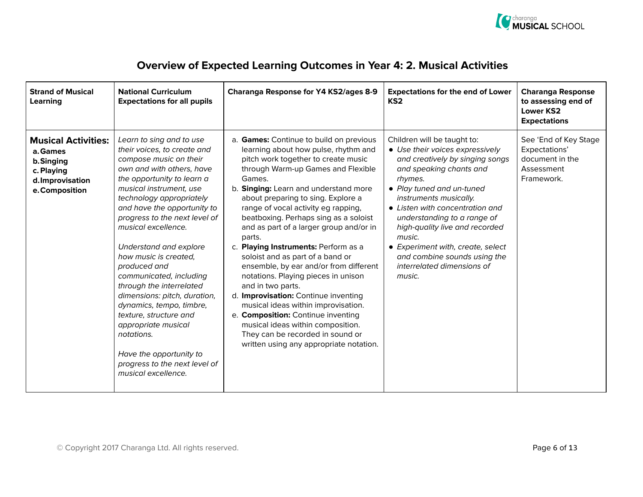

| <b>Strand of Musical</b><br>Learning                                                                   | <b>National Curriculum</b><br><b>Expectations for all pupils</b>                                                                                                                                                                                                                                                                                                                                                                                                                                                                                                                                                                   | Charanga Response for Y4 KS2/ages 8-9                                                                                                                                                                                                                                                                                                                                                                                                                                                                                                                                                                                                                                                                                                                                                                                 | <b>Expectations for the end of Lower</b><br>KS <sub>2</sub>                                                                                                                                                                                                                                                                                                                                                               | <b>Charanga Response</b><br>to assessing end of<br><b>Lower KS2</b><br><b>Expectations</b> |
|--------------------------------------------------------------------------------------------------------|------------------------------------------------------------------------------------------------------------------------------------------------------------------------------------------------------------------------------------------------------------------------------------------------------------------------------------------------------------------------------------------------------------------------------------------------------------------------------------------------------------------------------------------------------------------------------------------------------------------------------------|-----------------------------------------------------------------------------------------------------------------------------------------------------------------------------------------------------------------------------------------------------------------------------------------------------------------------------------------------------------------------------------------------------------------------------------------------------------------------------------------------------------------------------------------------------------------------------------------------------------------------------------------------------------------------------------------------------------------------------------------------------------------------------------------------------------------------|---------------------------------------------------------------------------------------------------------------------------------------------------------------------------------------------------------------------------------------------------------------------------------------------------------------------------------------------------------------------------------------------------------------------------|--------------------------------------------------------------------------------------------|
| <b>Musical Activities:</b><br>a. Games<br>b.Singing<br>c. Playing<br>d.Improvisation<br>e. Composition | Learn to sing and to use<br>their voices, to create and<br>compose music on their<br>own and with others, have<br>the opportunity to learn a<br>musical instrument, use<br>technology appropriately<br>and have the opportunity to<br>progress to the next level of<br>musical excellence.<br>Understand and explore<br>how music is created.<br>produced and<br>communicated, including<br>through the interrelated<br>dimensions: pitch, duration,<br>dynamics, tempo, timbre,<br>texture, structure and<br>appropriate musical<br>notations.<br>Have the opportunity to<br>progress to the next level of<br>musical excellence. | a. Games: Continue to build on previous<br>learning about how pulse, rhythm and<br>pitch work together to create music<br>through Warm-up Games and Flexible<br>Games.<br>b. Singing: Learn and understand more<br>about preparing to sing. Explore a<br>range of vocal activity eg rapping,<br>beatboxing. Perhaps sing as a soloist<br>and as part of a larger group and/or in<br>parts.<br>c. Playing Instruments: Perform as a<br>soloist and as part of a band or<br>ensemble, by ear and/or from different<br>notations. Playing pieces in unison<br>and in two parts.<br>d. Improvisation: Continue inventing<br>musical ideas within improvisation.<br>e. Composition: Continue inventing<br>musical ideas within composition.<br>They can be recorded in sound or<br>written using any appropriate notation. | Children will be taught to:<br>• Use their voices expressively<br>and creatively by singing songs<br>and speaking chants and<br>rhymes.<br>• Play tuned and un-tuned<br>instruments musically.<br>• Listen with concentration and<br>understanding to a range of<br>high-quality live and recorded<br>music.<br>• Experiment with, create, select<br>and combine sounds using the<br>interrelated dimensions of<br>music. | See 'End of Key Stage<br>Expectations'<br>document in the<br>Assessment<br>Framework.      |

### Overview of Expected Learning Outcomes in Year 4: 2. Musical Activities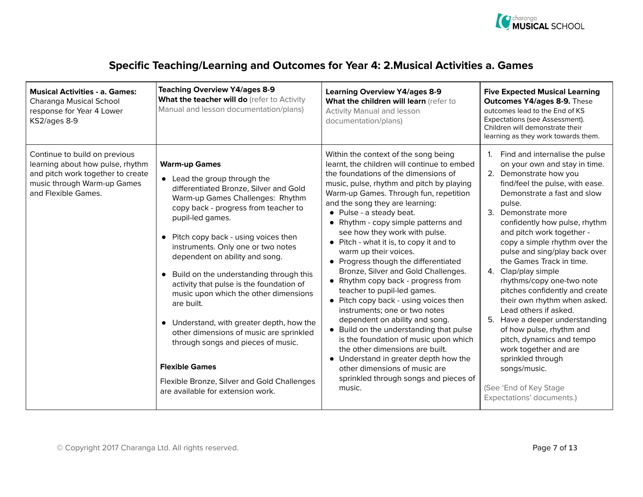

| Specific Teaching/Learning and Outcomes for Year 4: 2. Musical Activities a. Games |  |
|------------------------------------------------------------------------------------|--|
|------------------------------------------------------------------------------------|--|

| <b>Musical Activities - a. Games:</b><br>Charanga Musical School<br>response for Year 4 Lower<br>KS2/ages 8-9                                                | <b>Teaching Overview Y4/ages 8-9</b><br>What the teacher will do (refer to Activity<br>Manual and lesson documentation/plans)                                                                                                                                                                                                                                                                                                                                                                                                                                                                                                                                                                          | <b>Learning Overview Y4/ages 8-9</b><br>What the children will learn (refer to<br><b>Activity Manual and lesson</b><br>documentation/plans)                                                                                                                                                                                                                                                                                                                                                                                                                                                                                                                                                                                                                                                                                                                                                                                                       | <b>Five Expected Musical Learning</b><br><b>Outcomes Y4/ages 8-9. These</b><br>outcomes lead to the End of KS<br>Expectations (see Assessment).<br>Children will demonstrate their<br>learning as they work towards them.                                                                                                                                                                                                                                                                                                                                                                                                                                                                                                     |
|--------------------------------------------------------------------------------------------------------------------------------------------------------------|--------------------------------------------------------------------------------------------------------------------------------------------------------------------------------------------------------------------------------------------------------------------------------------------------------------------------------------------------------------------------------------------------------------------------------------------------------------------------------------------------------------------------------------------------------------------------------------------------------------------------------------------------------------------------------------------------------|---------------------------------------------------------------------------------------------------------------------------------------------------------------------------------------------------------------------------------------------------------------------------------------------------------------------------------------------------------------------------------------------------------------------------------------------------------------------------------------------------------------------------------------------------------------------------------------------------------------------------------------------------------------------------------------------------------------------------------------------------------------------------------------------------------------------------------------------------------------------------------------------------------------------------------------------------|-------------------------------------------------------------------------------------------------------------------------------------------------------------------------------------------------------------------------------------------------------------------------------------------------------------------------------------------------------------------------------------------------------------------------------------------------------------------------------------------------------------------------------------------------------------------------------------------------------------------------------------------------------------------------------------------------------------------------------|
| Continue to build on previous<br>learning about how pulse, rhythm<br>and pitch work together to create<br>music through Warm-up Games<br>and Flexible Games. | <b>Warm-up Games</b><br>• Lead the group through the<br>differentiated Bronze, Silver and Gold<br>Warm-up Games Challenges: Rhythm<br>copy back - progress from teacher to<br>pupil-led games.<br>Pitch copy back - using voices then<br>instruments. Only one or two notes<br>dependent on ability and song.<br>Build on the understanding through this<br>activity that pulse is the foundation of<br>music upon which the other dimensions<br>are built.<br>• Understand, with greater depth, how the<br>other dimensions of music are sprinkled<br>through songs and pieces of music.<br><b>Flexible Games</b><br>Flexible Bronze, Silver and Gold Challenges<br>are available for extension work. | Within the context of the song being<br>learnt, the children will continue to embed<br>the foundations of the dimensions of<br>music, pulse, rhythm and pitch by playing<br>Warm-up Games. Through fun, repetition<br>and the song they are learning:<br>• Pulse - a steady beat.<br>• Rhythm - copy simple patterns and<br>see how they work with pulse.<br>• Pitch - what it is, to copy it and to<br>warm up their voices.<br>• Progress though the differentiated<br>Bronze, Silver and Gold Challenges.<br>• Rhythm copy back - progress from<br>teacher to pupil-led games.<br>• Pitch copy back - using voices then<br>instruments: one or two notes<br>dependent on ability and song.<br>• Build on the understanding that pulse<br>is the foundation of music upon which<br>the other dimensions are built.<br>• Understand in greater depth how the<br>other dimensions of music are<br>sprinkled through songs and pieces of<br>music. | Find and internalise the pulse<br>1.<br>on your own and stay in time.<br>2. Demonstrate how you<br>find/feel the pulse, with ease.<br>Demonstrate a fast and slow<br>pulse.<br>3. Demonstrate more<br>confidently how pulse, rhythm<br>and pitch work together -<br>copy a simple rhythm over the<br>pulse and sing/play back over<br>the Games Track in time.<br>4. Clap/play simple<br>rhythms/copy one-two note<br>pitches confidently and create<br>their own rhythm when asked.<br>Lead others if asked.<br>5. Have a deeper understanding<br>of how pulse, rhythm and<br>pitch, dynamics and tempo<br>work together and are<br>sprinkled through<br>songs/music.<br>(See 'End of Key Stage<br>Expectations' documents.) |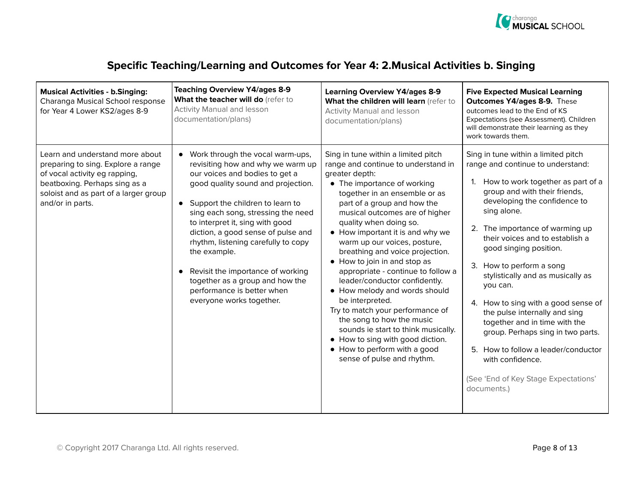

| <b>Musical Activities - b.Singing:</b><br>Charanga Musical School response<br>for Year 4 Lower KS2/ages 8-9                                                                                          | <b>Teaching Overview Y4/ages 8-9</b><br>What the teacher will do (refer to<br><b>Activity Manual and lesson</b><br>documentation/plans)                                                                                                                                                                                                                                                                                                                                                       | <b>Learning Overview Y4/ages 8-9</b><br>What the children will learn (refer to<br><b>Activity Manual and lesson</b><br>documentation/plans)                                                                                                                                                                                                                                                                                                                                                                                                                                                                                                                                                                                         | <b>Five Expected Musical Learning</b><br><b>Outcomes Y4/ages 8-9. These</b><br>outcomes lead to the End of KS<br>Expectations (see Assessment). Children<br>will demonstrate their learning as they<br>work towards them.                                                                                                                                                                                                                                                                                                                                                                                                                        |
|------------------------------------------------------------------------------------------------------------------------------------------------------------------------------------------------------|-----------------------------------------------------------------------------------------------------------------------------------------------------------------------------------------------------------------------------------------------------------------------------------------------------------------------------------------------------------------------------------------------------------------------------------------------------------------------------------------------|-------------------------------------------------------------------------------------------------------------------------------------------------------------------------------------------------------------------------------------------------------------------------------------------------------------------------------------------------------------------------------------------------------------------------------------------------------------------------------------------------------------------------------------------------------------------------------------------------------------------------------------------------------------------------------------------------------------------------------------|--------------------------------------------------------------------------------------------------------------------------------------------------------------------------------------------------------------------------------------------------------------------------------------------------------------------------------------------------------------------------------------------------------------------------------------------------------------------------------------------------------------------------------------------------------------------------------------------------------------------------------------------------|
| Learn and understand more about<br>preparing to sing. Explore a range<br>of vocal activity eg rapping,<br>beatboxing. Perhaps sing as a<br>soloist and as part of a larger group<br>and/or in parts. | • Work through the vocal warm-ups,<br>revisiting how and why we warm up<br>our voices and bodies to get a<br>good quality sound and projection.<br>• Support the children to learn to<br>sing each song, stressing the need<br>to interpret it, sing with good<br>diction, a good sense of pulse and<br>rhythm, listening carefully to copy<br>the example.<br>Revisit the importance of working<br>together as a group and how the<br>performance is better when<br>everyone works together. | Sing in tune within a limited pitch<br>range and continue to understand in<br>greater depth:<br>• The importance of working<br>together in an ensemble or as<br>part of a group and how the<br>musical outcomes are of higher<br>quality when doing so.<br>• How important it is and why we<br>warm up our voices, posture,<br>breathing and voice projection.<br>• How to join in and stop as<br>appropriate - continue to follow a<br>leader/conductor confidently.<br>• How melody and words should<br>be interpreted.<br>Try to match your performance of<br>the song to how the music<br>sounds ie start to think musically.<br>• How to sing with good diction.<br>• How to perform with a good<br>sense of pulse and rhythm. | Sing in tune within a limited pitch<br>range and continue to understand:<br>How to work together as part of a<br>1.<br>group and with their friends,<br>developing the confidence to<br>sing alone.<br>2. The importance of warming up<br>their voices and to establish a<br>good singing position.<br>3. How to perform a song<br>stylistically and as musically as<br>you can.<br>4. How to sing with a good sense of<br>the pulse internally and sing<br>together and in time with the<br>group. Perhaps sing in two parts.<br>5. How to follow a leader/conductor<br>with confidence.<br>(See 'End of Key Stage Expectations'<br>documents.) |

#### Specific Teaching/Learning and Outcomes for Year 4: 2.Musical Activities b. Singing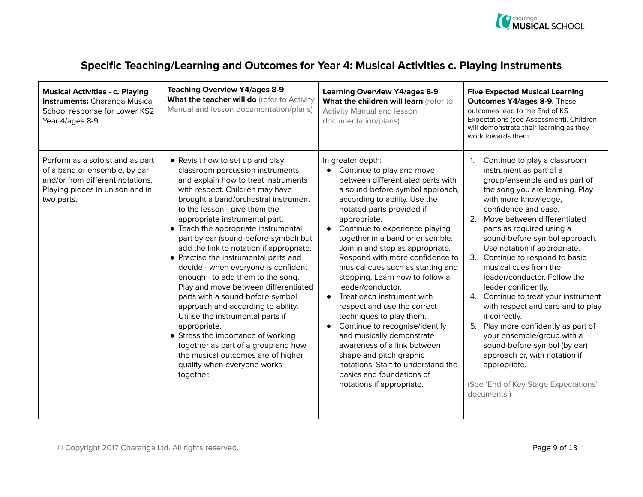

### Specific Teaching/Learning and Outcomes for Year 4: Musical Activities c. Playing Instruments

| <b>Musical Activities - c. Playing</b><br><b>Instruments:</b> Charanga Musical<br>School response for Lower KS2<br>Year 4/ages 8-9                     | <b>Teaching Overview Y4/ages 8-9</b><br>What the teacher will do (refer to Activity<br>Manual and lesson documentation/plans)                                                                                                                                                                                                                                                                                                                                                                                                                                                                                                                                                                                                                                                                                                                      | <b>Learning Overview Y4/ages 8-9</b><br>What the children will learn (refer to<br><b>Activity Manual and lesson</b><br>documentation/plans)                                                                                                                                                                                                                                                                                                                                                                                                                                                                                                                                                                                                                                                 | <b>Five Expected Musical Learning</b><br><b>Outcomes Y4/ages 8-9. These</b><br>outcomes lead to the End of KS<br>Expectations (see Assessment). Children<br>will demonstrate their learning as they<br>work towards them.                                                                                                                                                                                                                                                                                                                                                                                                                                                                                                                                 |
|--------------------------------------------------------------------------------------------------------------------------------------------------------|----------------------------------------------------------------------------------------------------------------------------------------------------------------------------------------------------------------------------------------------------------------------------------------------------------------------------------------------------------------------------------------------------------------------------------------------------------------------------------------------------------------------------------------------------------------------------------------------------------------------------------------------------------------------------------------------------------------------------------------------------------------------------------------------------------------------------------------------------|---------------------------------------------------------------------------------------------------------------------------------------------------------------------------------------------------------------------------------------------------------------------------------------------------------------------------------------------------------------------------------------------------------------------------------------------------------------------------------------------------------------------------------------------------------------------------------------------------------------------------------------------------------------------------------------------------------------------------------------------------------------------------------------------|-----------------------------------------------------------------------------------------------------------------------------------------------------------------------------------------------------------------------------------------------------------------------------------------------------------------------------------------------------------------------------------------------------------------------------------------------------------------------------------------------------------------------------------------------------------------------------------------------------------------------------------------------------------------------------------------------------------------------------------------------------------|
| Perform as a soloist and as part<br>of a band or ensemble, by ear<br>and/or from different notations.<br>Playing pieces in unison and in<br>two parts. | • Revisit how to set up and play<br>classroom percussion instruments<br>and explain how to treat instruments<br>with respect. Children may have<br>brought a band/orchestral instrument<br>to the lesson - give them the<br>appropriate instrumental part.<br>• Teach the appropriate instrumental<br>part by ear (sound-before-symbol) but<br>add the link to notation if appropriate.<br>• Practise the instrumental parts and<br>decide - when everyone is confident<br>enough - to add them to the song.<br>Play and move between differentiated<br>parts with a sound-before-symbol<br>approach and according to ability.<br>Utilise the instrumental parts if<br>appropriate.<br>• Stress the importance of working<br>together as part of a group and how<br>the musical outcomes are of higher<br>quality when everyone works<br>together. | In greater depth:<br>• Continue to play and move<br>between differentiated parts with<br>a sound-before-symbol approach,<br>according to ability. Use the<br>notated parts provided if<br>appropriate.<br>Continue to experience playing<br>together in a band or ensemble.<br>Join in and stop as appropriate.<br>Respond with more confidence to<br>musical cues such as starting and<br>stopping. Learn how to follow a<br>leader/conductor.<br>Treat each instrument with<br>$\bullet$<br>respect and use the correct<br>techniques to play them.<br>Continue to recognise/identify<br>$\bullet$<br>and musically demonstrate<br>awareness of a link between<br>shape and pitch graphic<br>notations. Start to understand the<br>basics and foundations of<br>notations if appropriate. | $\mathbf{1}$<br>Continue to play a classroom<br>instrument as part of a<br>group/ensemble and as part of<br>the song you are learning. Play<br>with more knowledge,<br>confidence and ease.<br>2. Move between differentiated<br>parts as required using a<br>sound-before-symbol approach.<br>Use notation if appropriate.<br>3. Continue to respond to basic<br>musical cues from the<br>leader/conductor. Follow the<br>leader confidently.<br>4. Continue to treat your instrument<br>with respect and care and to play<br>it correctly.<br>5. Play more confidently as part of<br>your ensemble/group with a<br>sound-before-symbol (by ear)<br>approach or, with notation if<br>appropriate.<br>(See 'End of Key Stage Expectations'<br>documents.) |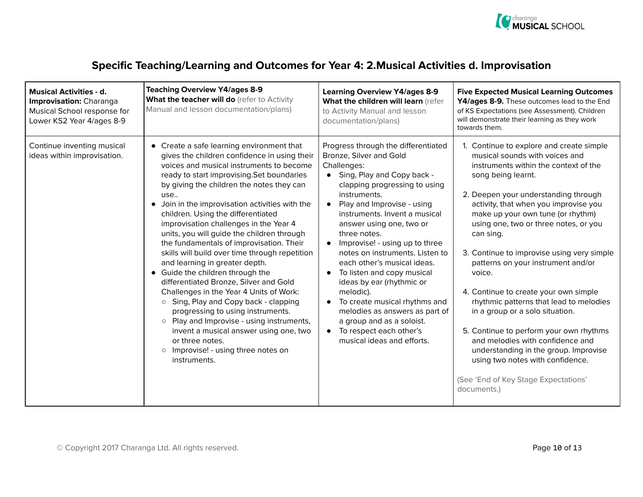

### Specific Teaching/Learning and Outcomes for Year 4: 2.Musical Activities d. Improvisation

| <b>Musical Activities - d.</b><br>Improvisation: Charanga<br>Musical School response for<br>Lower KS2 Year 4/ages 8-9 | <b>Teaching Overview Y4/ages 8-9</b><br>What the teacher will do (refer to Activity<br>Manual and lesson documentation/plans)                                                                                                                                                                                                                                                                                                                                                                                                                                                                                                                                                                                                                                                                                                                                                                                                                               | <b>Learning Overview Y4/ages 8-9</b><br>What the children will learn (refer<br>to Activity Manual and lesson<br>documentation/plans)                                                                                                                                                                                                                                                                                                                                                                                                                                                                                            | <b>Five Expected Musical Learning Outcomes</b><br>Y4/ages 8-9. These outcomes lead to the End<br>of KS Expectations (see Assessment). Children<br>will demonstrate their learning as they work<br>towards them.                                                                                                                                                                                                                                                                                                                                                                                                                                                                                                                                               |
|-----------------------------------------------------------------------------------------------------------------------|-------------------------------------------------------------------------------------------------------------------------------------------------------------------------------------------------------------------------------------------------------------------------------------------------------------------------------------------------------------------------------------------------------------------------------------------------------------------------------------------------------------------------------------------------------------------------------------------------------------------------------------------------------------------------------------------------------------------------------------------------------------------------------------------------------------------------------------------------------------------------------------------------------------------------------------------------------------|---------------------------------------------------------------------------------------------------------------------------------------------------------------------------------------------------------------------------------------------------------------------------------------------------------------------------------------------------------------------------------------------------------------------------------------------------------------------------------------------------------------------------------------------------------------------------------------------------------------------------------|---------------------------------------------------------------------------------------------------------------------------------------------------------------------------------------------------------------------------------------------------------------------------------------------------------------------------------------------------------------------------------------------------------------------------------------------------------------------------------------------------------------------------------------------------------------------------------------------------------------------------------------------------------------------------------------------------------------------------------------------------------------|
| Continue inventing musical<br>ideas within improvisation.                                                             | • Create a safe learning environment that<br>gives the children confidence in using their<br>voices and musical instruments to become<br>ready to start improvising. Set boundaries<br>by giving the children the notes they can<br>use<br>• Join in the improvisation activities with the<br>children. Using the differentiated<br>improvisation challenges in the Year 4<br>units, you will guide the children through<br>the fundamentals of improvisation. Their<br>skills will build over time through repetition<br>and learning in greater depth.<br>• Guide the children through the<br>differentiated Bronze, Silver and Gold<br>Challenges in the Year 4 Units of Work:<br>Sing, Play and Copy back - clapping<br>$\circ$<br>progressing to using instruments.<br>Play and Improvise - using instruments,<br>$\circ$<br>invent a musical answer using one, two<br>or three notes.<br>Improvise! - using three notes on<br>$\circ$<br>instruments. | Progress through the differentiated<br>Bronze, Silver and Gold<br>Challenges:<br>• Sing, Play and Copy back -<br>clapping progressing to using<br>instruments.<br>Play and Improvise - using<br>instruments. Invent a musical<br>answer using one, two or<br>three notes.<br>• Improvise! - using up to three<br>notes on instruments. Listen to<br>each other's musical ideas.<br>To listen and copy musical<br>$\bullet$<br>ideas by ear (rhythmic or<br>melodic).<br>To create musical rhythms and<br>melodies as answers as part of<br>a group and as a soloist.<br>• To respect each other's<br>musical ideas and efforts. | 1. Continue to explore and create simple<br>musical sounds with voices and<br>instruments within the context of the<br>song being learnt.<br>2. Deepen your understanding through<br>activity, that when you improvise you<br>make up your own tune (or rhythm)<br>using one, two or three notes, or you<br>can sing.<br>3. Continue to improvise using very simple<br>patterns on your instrument and/or<br>voice.<br>4. Continue to create your own simple<br>rhythmic patterns that lead to melodies<br>in a group or a solo situation.<br>5. Continue to perform your own rhythms<br>and melodies with confidence and<br>understanding in the group. Improvise<br>using two notes with confidence.<br>(See 'End of Key Stage Expectations'<br>documents.) |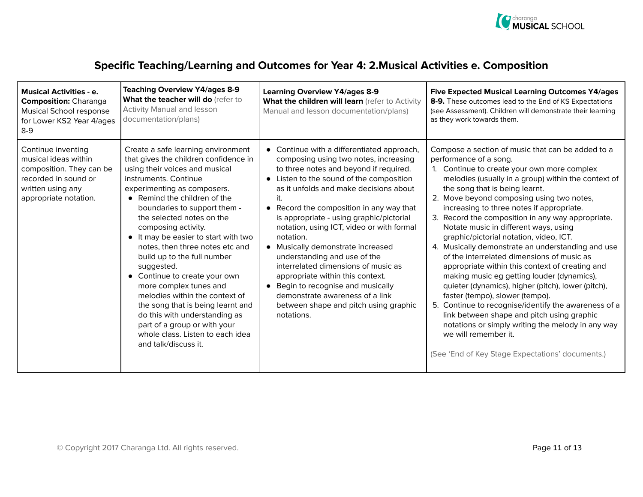

### Specific Teaching/Learning and Outcomes for Year 4: 2.Musical Activities e. Composition

| <b>Musical Activities - e.</b><br><b>Composition: Charanga</b><br>Musical School response<br>for Lower KS2 Year 4/ages<br>$8-9$              | <b>Teaching Overview Y4/ages 8-9</b><br>What the teacher will do (refer to<br><b>Activity Manual and lesson</b><br>documentation/plans)                                                                                                                                                                                                                                                                                                                                                                                                                                                                                                                                          | <b>Learning Overview Y4/ages 8-9</b><br>What the children will learn (refer to Activity<br>Manual and lesson documentation/plans)                                                                                                                                                                                                                                                                                                                                                                                                                                                                                                                     | <b>Five Expected Musical Learning Outcomes Y4/ages</b><br>8-9. These outcomes lead to the End of KS Expectations<br>(see Assessment). Children will demonstrate their learning<br>as they work towards them.                                                                                                                                                                                                                                                                                                                                                                                                                                                                                                                                                                                                                                                                                                                                                                               |
|----------------------------------------------------------------------------------------------------------------------------------------------|----------------------------------------------------------------------------------------------------------------------------------------------------------------------------------------------------------------------------------------------------------------------------------------------------------------------------------------------------------------------------------------------------------------------------------------------------------------------------------------------------------------------------------------------------------------------------------------------------------------------------------------------------------------------------------|-------------------------------------------------------------------------------------------------------------------------------------------------------------------------------------------------------------------------------------------------------------------------------------------------------------------------------------------------------------------------------------------------------------------------------------------------------------------------------------------------------------------------------------------------------------------------------------------------------------------------------------------------------|--------------------------------------------------------------------------------------------------------------------------------------------------------------------------------------------------------------------------------------------------------------------------------------------------------------------------------------------------------------------------------------------------------------------------------------------------------------------------------------------------------------------------------------------------------------------------------------------------------------------------------------------------------------------------------------------------------------------------------------------------------------------------------------------------------------------------------------------------------------------------------------------------------------------------------------------------------------------------------------------|
| Continue inventing<br>musical ideas within<br>composition. They can be<br>recorded in sound or<br>written using any<br>appropriate notation. | Create a safe learning environment<br>that gives the children confidence in<br>using their voices and musical<br>instruments. Continue<br>experimenting as composers.<br>• Remind the children of the<br>boundaries to support them -<br>the selected notes on the<br>composing activity.<br>• It may be easier to start with two<br>notes, then three notes etc and<br>build up to the full number<br>suggested.<br>• Continue to create your own<br>more complex tunes and<br>melodies within the context of<br>the song that is being learnt and<br>do this with understanding as<br>part of a group or with your<br>whole class. Listen to each idea<br>and talk/discuss it. | • Continue with a differentiated approach,<br>composing using two notes, increasing<br>to three notes and beyond if required.<br>• Listen to the sound of the composition<br>as it unfolds and make decisions about<br>• Record the composition in any way that<br>is appropriate - using graphic/pictorial<br>notation, using ICT, video or with formal<br>notation.<br>• Musically demonstrate increased<br>understanding and use of the<br>interrelated dimensions of music as<br>appropriate within this context.<br>• Begin to recognise and musically<br>demonstrate awareness of a link<br>between shape and pitch using graphic<br>notations. | Compose a section of music that can be added to a<br>performance of a song.<br>1. Continue to create your own more complex<br>melodies (usually in a group) within the context of<br>the song that is being learnt.<br>2. Move beyond composing using two notes,<br>increasing to three notes if appropriate.<br>3. Record the composition in any way appropriate.<br>Notate music in different ways, using<br>graphic/pictorial notation, video, ICT.<br>4. Musically demonstrate an understanding and use<br>of the interrelated dimensions of music as<br>appropriate within this context of creating and<br>making music eg getting louder (dynamics),<br>quieter (dynamics), higher (pitch), lower (pitch),<br>faster (tempo), slower (tempo).<br>5. Continue to recognise/identify the awareness of a<br>link between shape and pitch using graphic<br>notations or simply writing the melody in any way<br>we will remember it.<br>(See 'End of Key Stage Expectations' documents.) |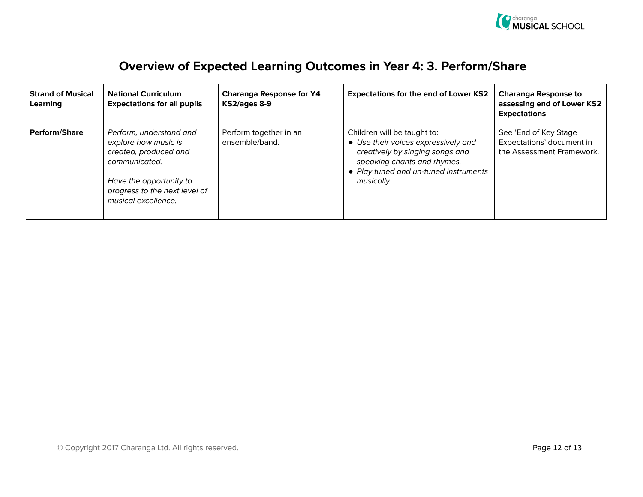

## Overview of Expected Learning Outcomes in Year 4: 3. Perform/Share

| <b>Strand of Musical</b><br>Learning | <b>National Curriculum</b><br><b>Expectations for all pupils</b>                                                                                                             | <b>Charanga Response for Y4</b><br>KS2/ages 8-9 | <b>Expectations for the end of Lower KS2</b>                                                                                                                                                | <b>Charanga Response to</b><br>assessing end of Lower KS2<br><b>Expectations</b> |
|--------------------------------------|------------------------------------------------------------------------------------------------------------------------------------------------------------------------------|-------------------------------------------------|---------------------------------------------------------------------------------------------------------------------------------------------------------------------------------------------|----------------------------------------------------------------------------------|
| <b>Perform/Share</b>                 | Perform, understand and<br>explore how music is<br>created, produced and<br>communicated.<br>Have the opportunity to<br>progress to the next level of<br>musical excellence. | Perform together in an<br>ensemble/band.        | Children will be taught to:<br>• Use their voices expressively and<br>creatively by singing songs and<br>speaking chants and rhymes.<br>• Play tuned and un-tuned instruments<br>musically. | See 'End of Key Stage<br>Expectations' document in<br>the Assessment Framework.  |